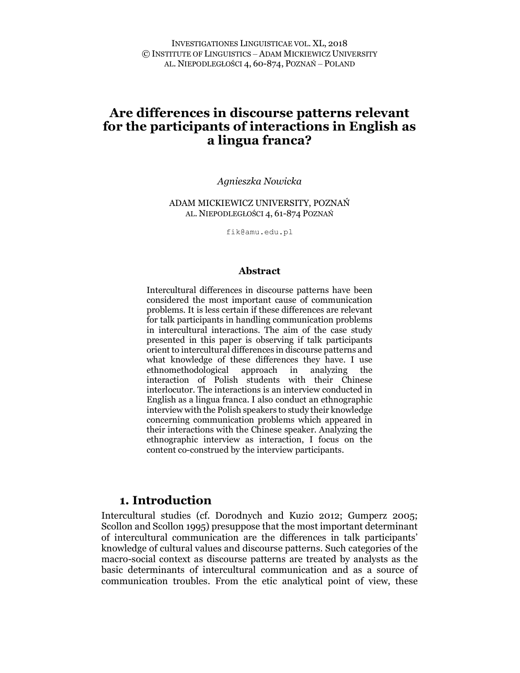Agnieszka Nowicka

ADAM MICKIEWICZ UNIVERSITY, POZNAŃ AL. NIEPODLEGŁOŚCI 4, 61-874 POZNAŃ

fik@amu.edu.pl

#### Abstract

Intercultural differences in discourse patterns have been considered the most important cause of communication problems. It is less certain if these differences are relevant for talk participants in handling communication problems in intercultural interactions. The aim of the case study presented in this paper is observing if talk participants orient to intercultural differences in discourse patterns and what knowledge of these differences they have. I use ethnomethodological approach in analyzing the interaction of Polish students with their Chinese interlocutor. The interactions is an interview conducted in English as a lingua franca. I also conduct an ethnographic interview with the Polish speakers to study their knowledge concerning communication problems which appeared in their interactions with the Chinese speaker. Analyzing the ethnographic interview as interaction, I focus on the content co-construed by the interview participants.

## 1. Introduction

Intercultural studies (cf. Dorodnych and Kuzio 2012; Gumperz 2005; Scollon and Scollon 1995) presuppose that the most important determinant of intercultural communication are the differences in talk participants' knowledge of cultural values and discourse patterns. Such categories of the macro-social context as discourse patterns are treated by analysts as the basic determinants of intercultural communication and as a source of communication troubles. From the etic analytical point of view, these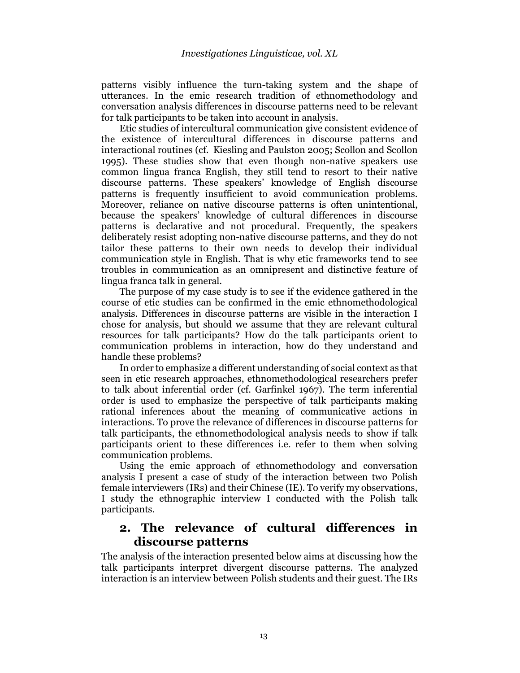patterns visibly influence the turn-taking system and the shape of utterances. In the emic research tradition of ethnomethodology and conversation analysis differences in discourse patterns need to be relevant for talk participants to be taken into account in analysis.

Etic studies of intercultural communication give consistent evidence of the existence of intercultural differences in discourse patterns and interactional routines (cf. Kiesling and Paulston 2005; Scollon and Scollon 1995). These studies show that even though non-native speakers use common lingua franca English, they still tend to resort to their native discourse patterns. These speakers' knowledge of English discourse patterns is frequently insufficient to avoid communication problems. Moreover, reliance on native discourse patterns is often unintentional, because the speakers' knowledge of cultural differences in discourse patterns is declarative and not procedural. Frequently, the speakers deliberately resist adopting non-native discourse patterns, and they do not tailor these patterns to their own needs to develop their individual communication style in English. That is why etic frameworks tend to see troubles in communication as an omnipresent and distinctive feature of lingua franca talk in general.

The purpose of my case study is to see if the evidence gathered in the course of etic studies can be confirmed in the emic ethnomethodological analysis. Differences in discourse patterns are visible in the interaction I chose for analysis, but should we assume that they are relevant cultural resources for talk participants? How do the talk participants orient to communication problems in interaction, how do they understand and handle these problems?

In order to emphasize a different understanding of social context as that seen in etic research approaches, ethnomethodological researchers prefer to talk about inferential order (cf. Garfinkel 1967). The term inferential order is used to emphasize the perspective of talk participants making rational inferences about the meaning of communicative actions in interactions. To prove the relevance of differences in discourse patterns for talk participants, the ethnomethodological analysis needs to show if talk participants orient to these differences i.e. refer to them when solving communication problems.

Using the emic approach of ethnomethodology and conversation analysis I present a case of study of the interaction between two Polish female interviewers (IRs) and their Chinese (IE). To verify my observations, I study the ethnographic interview I conducted with the Polish talk participants.

# 2. The relevance of cultural differences in discourse patterns

The analysis of the interaction presented below aims at discussing how the talk participants interpret divergent discourse patterns. The analyzed interaction is an interview between Polish students and their guest. The IRs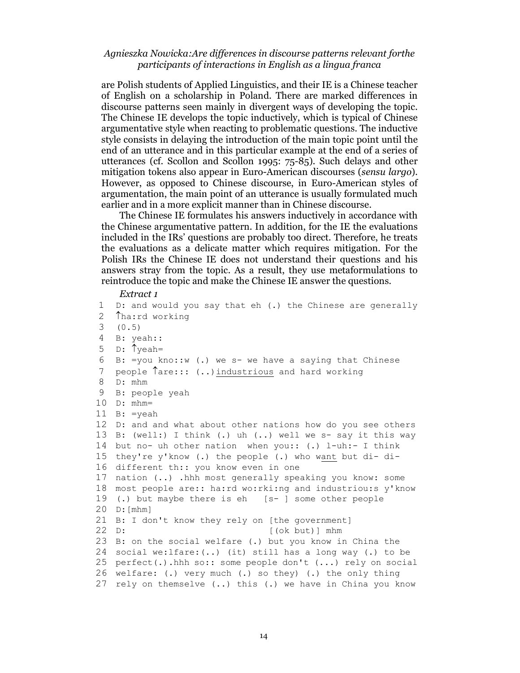are Polish students of Applied Linguistics, and their IE is a Chinese teacher of English on a scholarship in Poland. There are marked differences in discourse patterns seen mainly in divergent ways of developing the topic. The Chinese IE develops the topic inductively, which is typical of Chinese argumentative style when reacting to problematic questions. The inductive style consists in delaying the introduction of the main topic point until the end of an utterance and in this particular example at the end of a series of utterances (cf. Scollon and Scollon 1995: 75-85). Such delays and other mitigation tokens also appear in Euro-American discourses (sensu largo). However, as opposed to Chinese discourse, in Euro-American styles of argumentation, the main point of an utterance is usually formulated much earlier and in a more explicit manner than in Chinese discourse.

The Chinese IE formulates his answers inductively in accordance with the Chinese argumentative pattern. In addition, for the IE the evaluations included in the IRs' questions are probably too direct. Therefore, he treats the evaluations as a delicate matter which requires mitigation. For the Polish IRs the Chinese IE does not understand their questions and his answers stray from the topic. As a result, they use metaformulations to reintroduce the topic and make the Chinese IE answer the questions.

#### Extract 1

```
1 D: and would you say that eh (.) the Chinese are generally 
2 Tha:rd working<br>3 (0.5)(0.5)4 B: yeah:: 
5 D: \uparrow yeah=
6 B: =you kno::w (.) we s- we have a saying that Chinese 
7 people \hat{\tau}are::: (..) industrious and hard working
8 D: mhm 
9 B: people yeah 
10 D: mhm= 
11 B: =yeah 
12 D: and and what about other nations how do you see others 
13 B: (well:) I think (.) uh (..) well we s- say it this way 
14 but no- uh other nation when you:: (.) l-uh:- I think 
15 they're y'know (.) the people (.) who want but di- di-
16 different th:: you know even in one 
17 nation (..) .hhh most generally speaking you know: some 
18 most people are:: ha:rd wo:rki:ng and industriou:s y'know 
19 (.) but maybe there is eh [s- ] some other people 
20 D:[mhm] 
21 B: I don't know they rely on [the government] 
22 D: [(ok but)] mhm
23 B: on the social welfare (.) but you know in China the 
24 social we:lfare:(..) (it) still has a long way (.) to be 
25 perfect(.).hhh so:: some people don't (...) rely on social 
26 welfare: (.) very much (.) so they) (.) the only thing 
27 rely on themselve (..) this (.) we have in China you know
```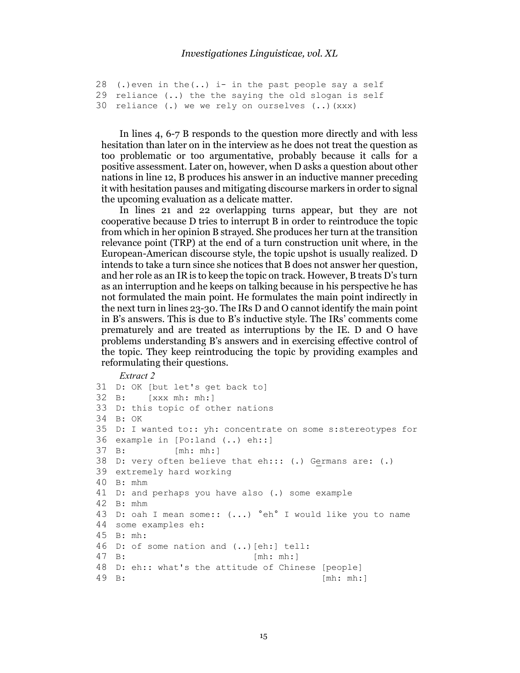```
28 (.) even in the (..) i- in the past people say a self
29 reliance (..) the the saying the old slogan is self 
30 reliance (.) we we rely on ourselves (..)(xxx)
```
In lines 4, 6-7 B responds to the question more directly and with less hesitation than later on in the interview as he does not treat the question as too problematic or too argumentative, probably because it calls for a positive assessment. Later on, however, when D asks a question about other nations in line 12, B produces his answer in an inductive manner preceding it with hesitation pauses and mitigating discourse markers in order to signal the upcoming evaluation as a delicate matter.

In lines 21 and 22 overlapping turns appear, but they are not cooperative because D tries to interrupt B in order to reintroduce the topic from which in her opinion B strayed. She produces her turn at the transition relevance point (TRP) at the end of a turn construction unit where, in the European-American discourse style, the topic upshot is usually realized. D intends to take a turn since she notices that B does not answer her question, and her role as an IR is to keep the topic on track. However, B treats D's turn as an interruption and he keeps on talking because in his perspective he has not formulated the main point. He formulates the main point indirectly in the next turn in lines 23-30. The IRs D and O cannot identify the main point in B's answers. This is due to B's inductive style. The IRs' comments come prematurely and are treated as interruptions by the IE. D and O have problems understanding B's answers and in exercising effective control of the topic. They keep reintroducing the topic by providing examples and reformulating their questions.

#### Extract 2

```
31 D: OK [but let's get back to] 
32 B: [xxx mh: mh:] 
33 D: this topic of other nations 
34 B: OK 
35 D: I wanted to:: yh: concentrate on some s:stereotypes for 
36 example in [Po:land (..) eh::] 
37 B: [mh: mh:] 
38 D: very often believe that eh::: (.) Germans are: (.) 
39 extremely hard working 
40 B: mhm 
41 D: and perhaps you have also (.) some example 
42 B: mhm 
43 D: oah I mean some:: (...) °eh° I would like you to name 
44 some examples eh: 
45 B: mh: 
46 D: of some nation and (..)[eh:] tell: 
47 B: [mh: mh:] 
48 D: eh:: what's the attitude of Chinese [people] 
49 B: [mh: mh:]
```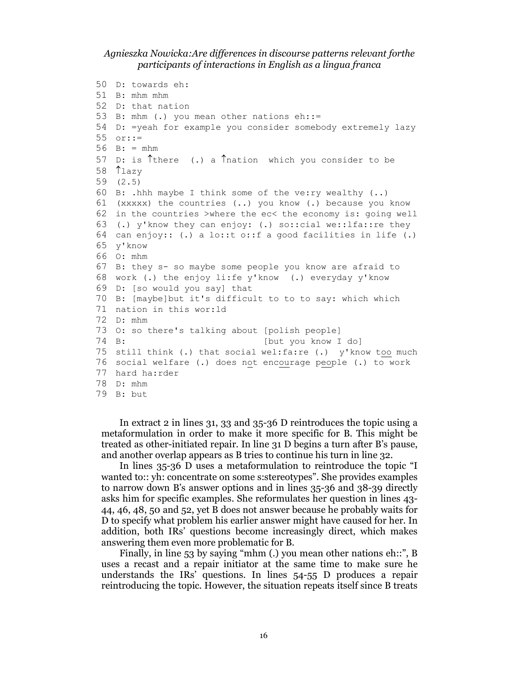```
50 D: towards eh: 
51 B: mhm mhm 
52 D: that nation 
53 B: mhm (.) you mean other nations eh::= 
54 D: =yeah for example you consider somebody extremely lazy 
55 or::= 
56 B: = mhm57 D: is \hat{} there (.) a \hat{} nation which you consider to be
58 Tlazy
59 (2.5) 
60 B: .hhh maybe I think some of the ve:ry wealthy (..) 
61 (xxxxx) the countries (..) you know (.) because you know 
62 in the countries >where the ec< the economy is: going well 
63 (.) y'know they can enjoy: (.) so::cial we::lfa::re they 
64 can enjoy:: (.) a lo::t o::f a good facilities in life (.) 
65 y'know 
66 O: mhm 
67 B: they s- so maybe some people you know are afraid to 
68 work (.) the enjoy li:fe y'know (.) everyday y'know 
69 D: [so would you say] that 
70 B: [maybe]but it's difficult to to to say: which which 
71 nation in this wor:ld 
72 D: mhm 
73 O: so there's talking about [polish people] 
74 B: [but you know I do] 
75 still think (.) that social wel:fa:re (.) y'know too much 
76 social welfare (.) does not encourage people (.) to work 
77 hard ha:rder 
78 D: mhm 
79 B: but
```
In extract 2 in lines 31, 33 and 35-36 D reintroduces the topic using a metaformulation in order to make it more specific for B. This might be treated as other-initiated repair. In line 31 D begins a turn after B's pause, and another overlap appears as B tries to continue his turn in line 32.

In lines 35-36 D uses a metaformulation to reintroduce the topic "I wanted to:: yh: concentrate on some s:stereotypes". She provides examples to narrow down B's answer options and in lines 35-36 and 38-39 directly asks him for specific examples. She reformulates her question in lines 43- 44, 46, 48, 50 and 52, yet B does not answer because he probably waits for D to specify what problem his earlier answer might have caused for her. In addition, both IRs' questions become increasingly direct, which makes answering them even more problematic for B.

Finally, in line 53 by saying "mhm (.) you mean other nations eh::", B uses a recast and a repair initiator at the same time to make sure he understands the IRs' questions. In lines 54-55 D produces a repair reintroducing the topic. However, the situation repeats itself since B treats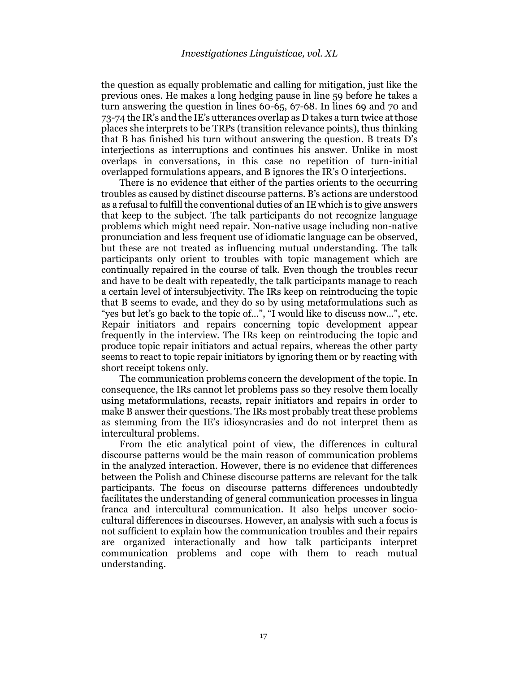the question as equally problematic and calling for mitigation, just like the previous ones. He makes a long hedging pause in line 59 before he takes a turn answering the question in lines 60-65, 67-68. In lines 69 and 70 and 73-74 the IR's and the IE's utterances overlap as D takes a turn twice at those places she interprets to be TRPs (transition relevance points), thus thinking that B has finished his turn without answering the question. B treats D's interjections as interruptions and continues his answer. Unlike in most overlaps in conversations, in this case no repetition of turn-initial overlapped formulations appears, and B ignores the IR's O interjections.

There is no evidence that either of the parties orients to the occurring troubles as caused by distinct discourse patterns. B's actions are understood as a refusal to fulfill the conventional duties of an IE which is to give answers that keep to the subject. The talk participants do not recognize language problems which might need repair. Non-native usage including non-native pronunciation and less frequent use of idiomatic language can be observed, but these are not treated as influencing mutual understanding. The talk participants only orient to troubles with topic management which are continually repaired in the course of talk. Even though the troubles recur and have to be dealt with repeatedly, the talk participants manage to reach a certain level of intersubjectivity. The IRs keep on reintroducing the topic that B seems to evade, and they do so by using metaformulations such as "yes but let's go back to the topic of…", "I would like to discuss now…", etc. Repair initiators and repairs concerning topic development appear frequently in the interview. The IRs keep on reintroducing the topic and produce topic repair initiators and actual repairs, whereas the other party seems to react to topic repair initiators by ignoring them or by reacting with short receipt tokens only.

The communication problems concern the development of the topic. In consequence, the IRs cannot let problems pass so they resolve them locally using metaformulations, recasts, repair initiators and repairs in order to make B answer their questions. The IRs most probably treat these problems as stemming from the IE's idiosyncrasies and do not interpret them as intercultural problems.

From the etic analytical point of view, the differences in cultural discourse patterns would be the main reason of communication problems in the analyzed interaction. However, there is no evidence that differences between the Polish and Chinese discourse patterns are relevant for the talk participants. The focus on discourse patterns differences undoubtedly facilitates the understanding of general communication processes in lingua franca and intercultural communication. It also helps uncover sociocultural differences in discourses. However, an analysis with such a focus is not sufficient to explain how the communication troubles and their repairs are organized interactionally and how talk participants interpret communication problems and cope with them to reach mutual understanding.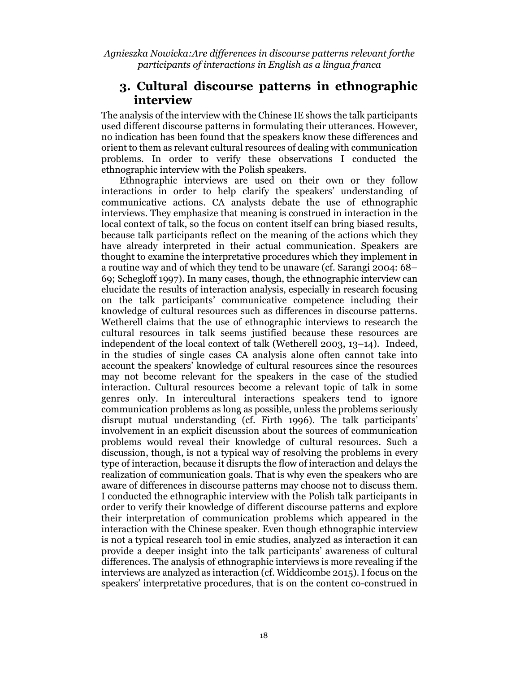## 3. Cultural discourse patterns in ethnographic interview

The analysis of the interview with the Chinese IE shows the talk participants used different discourse patterns in formulating their utterances. However, no indication has been found that the speakers know these differences and orient to them as relevant cultural resources of dealing with communication problems. In order to verify these observations I conducted the ethnographic interview with the Polish speakers.

Ethnographic interviews are used on their own or they follow interactions in order to help clarify the speakers' understanding of communicative actions. CA analysts debate the use of ethnographic interviews. They emphasize that meaning is construed in interaction in the local context of talk, so the focus on content itself can bring biased results, because talk participants reflect on the meaning of the actions which they have already interpreted in their actual communication. Speakers are thought to examine the interpretative procedures which they implement in a routine way and of which they tend to be unaware (cf. Sarangi 2004: 68– 69; Schegloff 1997). In many cases, though, the ethnographic interview can elucidate the results of interaction analysis, especially in research focusing on the talk participants' communicative competence including their knowledge of cultural resources such as differences in discourse patterns. Wetherell claims that the use of ethnographic interviews to research the cultural resources in talk seems justified because these resources are independent of the local context of talk (Wetherell 2003, 13–14). Indeed, in the studies of single cases CA analysis alone often cannot take into account the speakers' knowledge of cultural resources since the resources may not become relevant for the speakers in the case of the studied interaction. Cultural resources become a relevant topic of talk in some genres only. In intercultural interactions speakers tend to ignore communication problems as long as possible, unless the problems seriously disrupt mutual understanding (cf. Firth 1996). The talk participants' involvement in an explicit discussion about the sources of communication problems would reveal their knowledge of cultural resources. Such a discussion, though, is not a typical way of resolving the problems in every type of interaction, because it disrupts the flow of interaction and delays the realization of communication goals. That is why even the speakers who are aware of differences in discourse patterns may choose not to discuss them. I conducted the ethnographic interview with the Polish talk participants in order to verify their knowledge of different discourse patterns and explore their interpretation of communication problems which appeared in the interaction with the Chinese speaker. Even though ethnographic interview is not a typical research tool in emic studies, analyzed as interaction it can provide a deeper insight into the talk participants' awareness of cultural differences. The analysis of ethnographic interviews is more revealing if the interviews are analyzed as interaction (cf. Widdicombe 2015). I focus on the speakers' interpretative procedures, that is on the content co-construed in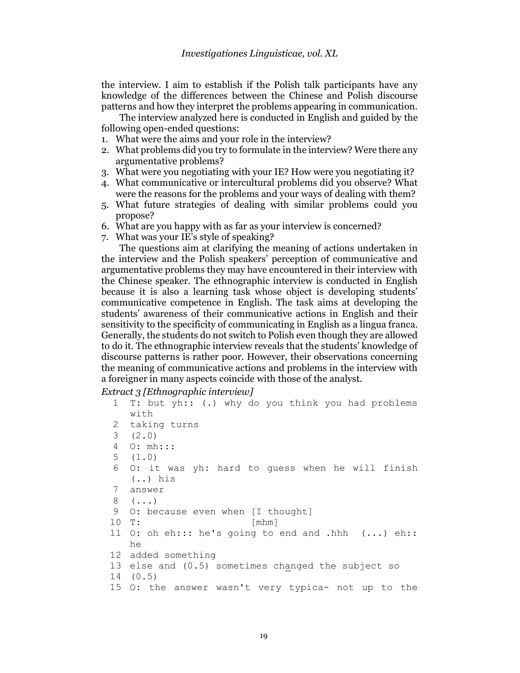the interview. I aim to establish if the Polish talk participants have any knowledge of the differences between the Chinese and Polish discourse patterns and how they interpret the problems appearing in communication.

The interview analyzed here is conducted in English and guided by the following open-ended questions:

- 1. What were the aims and your role in the interview?
- 2. What problems did you try to formulate in the interview? Were there any argumentative problems?
- 3. What were you negotiating with your IE? How were you negotiating it?
- 4. What communicative or intercultural problems did you observe? What were the reasons for the problems and your ways of dealing with them?
- 5. What future strategies of dealing with similar problems could you propose?
- 6. What are you happy with as far as your interview is concerned?
- 7. What was your IE's style of speaking?

The questions aim at clarifying the meaning of actions undertaken in the interview and the Polish speakers' perception of communicative and argumentative problems they may have encountered in their interview with the Chinese speaker. The ethnographic interview is conducted in English because it is also a learning task whose object is developing students' communicative competence in English. The task aims at developing the students' awareness of their communicative actions in English and their sensitivity to the specificity of communicating in English as a lingua franca. Generally, the students do not switch to Polish even though they are allowed to do it. The ethnographic interview reveals that the students' knowledge of discourse patterns is rather poor. However, their observations concerning the meaning of communicative actions and problems in the interview with a foreigner in many aspects coincide with those of the analyst.

Extract 3 [Ethnographic interview]

```
1 T: but yh:: (.) why do you think you had problems 
   with 
2 taking turns 
3 (2.0) 
4 O: mh::: 
5 (1.0) 
6 O: it was yh: hard to guess when he will finish 
   (..) his 
7 answer 
8 (...) 
9 O: because even when [I thought]
10 T: [mhm] 
11 O: oh eh::: he's going to end and .hhh (...) eh:: 
   he 
12 added something 
13 else and (0.5) sometimes changed the subject so 
14 (0.5) 
15 O: the answer wasn't very typica- not up to the
```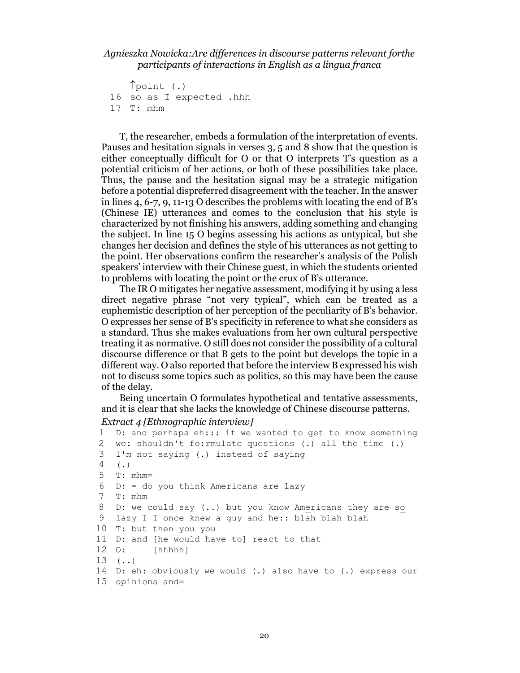point (.) 16 so as I expected .hhh 17 T: mhm

T, the researcher, embeds a formulation of the interpretation of events. Pauses and hesitation signals in verses 3, 5 and 8 show that the question is either conceptually difficult for O or that O interprets T's question as a potential criticism of her actions, or both of these possibilities take place. Thus, the pause and the hesitation signal may be a strategic mitigation before a potential dispreferred disagreement with the teacher. In the answer in lines 4, 6-7, 9, 11-13 O describes the problems with locating the end of B's (Chinese IE) utterances and comes to the conclusion that his style is characterized by not finishing his answers, adding something and changing the subject. In line 15 O begins assessing his actions as untypical, but she changes her decision and defines the style of his utterances as not getting to the point. Her observations confirm the researcher's analysis of the Polish speakers' interview with their Chinese guest, in which the students oriented to problems with locating the point or the crux of B's utterance.

The IR O mitigates her negative assessment, modifying it by using a less direct negative phrase "not very typical", which can be treated as a euphemistic description of her perception of the peculiarity of B's behavior. O expresses her sense of B's specificity in reference to what she considers as a standard. Thus she makes evaluations from her own cultural perspective treating it as normative. O still does not consider the possibility of a cultural discourse difference or that B gets to the point but develops the topic in a different way. O also reported that before the interview B expressed his wish not to discuss some topics such as politics, so this may have been the cause of the delay.

Being uncertain O formulates hypothetical and tentative assessments, and it is clear that she lacks the knowledge of Chinese discourse patterns.

#### Extract 4 [Ethnographic interview]

```
1 D: and perhaps eh::: if we wanted to get to know something 
2 we: shouldn't fo:rmulate questions (.) all the time (.) 
3 I'm not saying (.) instead of saying 
4 (.) 
5 T: mhm= 
6 D: = do you think Americans are lazy
7 T: mhm 
8 D: we could say (..) but you know Americans they are so 
9 lazy I I once knew a guy and he:: blah blah blah 
10 T: but then you you 
11 D: and [he would have to] react to that 
12 O: [hhhhh] 
13 \quad (. \ .)14 D: eh: obviously we would (.) also have to (.) express our 
15 opinions and=
```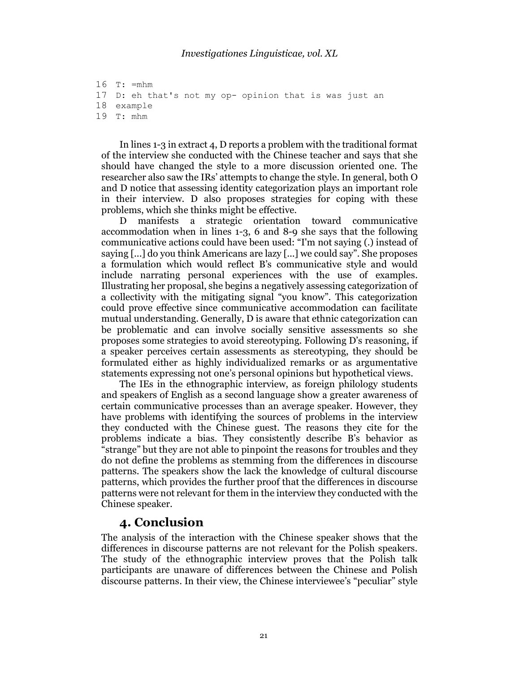```
16 T: =mhm 
17 D: eh that's not my op- opinion that is was just an 
18 example 
19 T: mhm
```
In lines 1-3 in extract 4, D reports a problem with the traditional format of the interview she conducted with the Chinese teacher and says that she should have changed the style to a more discussion oriented one. The researcher also saw the IRs' attempts to change the style. In general, both O and D notice that assessing identity categorization plays an important role in their interview. D also proposes strategies for coping with these problems, which she thinks might be effective.

D manifests a strategic orientation toward communicative accommodation when in lines 1-3, 6 and 8-9 she says that the following communicative actions could have been used: "I'm not saying (.) instead of saying [...] do you think Americans are lazy [...] we could say". She proposes a formulation which would reflect B's communicative style and would include narrating personal experiences with the use of examples. Illustrating her proposal, she begins a negatively assessing categorization of a collectivity with the mitigating signal "you know". This categorization could prove effective since communicative accommodation can facilitate mutual understanding. Generally, D is aware that ethnic categorization can be problematic and can involve socially sensitive assessments so she proposes some strategies to avoid stereotyping. Following D's reasoning, if a speaker perceives certain assessments as stereotyping, they should be formulated either as highly individualized remarks or as argumentative statements expressing not one's personal opinions but hypothetical views.

The IEs in the ethnographic interview, as foreign philology students and speakers of English as a second language show a greater awareness of certain communicative processes than an average speaker. However, they have problems with identifying the sources of problems in the interview they conducted with the Chinese guest. The reasons they cite for the problems indicate a bias. They consistently describe B's behavior as "strange" but they are not able to pinpoint the reasons for troubles and they do not define the problems as stemming from the differences in discourse patterns. The speakers show the lack the knowledge of cultural discourse patterns, which provides the further proof that the differences in discourse patterns were not relevant for them in the interview they conducted with the Chinese speaker.

### 4. Conclusion

The analysis of the interaction with the Chinese speaker shows that the differences in discourse patterns are not relevant for the Polish speakers. The study of the ethnographic interview proves that the Polish talk participants are unaware of differences between the Chinese and Polish discourse patterns. In their view, the Chinese interviewee's "peculiar" style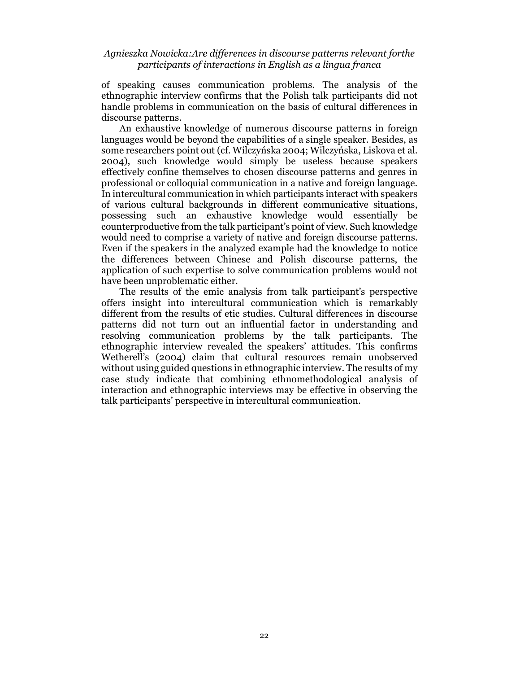of speaking causes communication problems. The analysis of the ethnographic interview confirms that the Polish talk participants did not handle problems in communication on the basis of cultural differences in discourse patterns.

An exhaustive knowledge of numerous discourse patterns in foreign languages would be beyond the capabilities of a single speaker. Besides, as some researchers point out (cf. Wilczyńska 2004; Wilczyńska, Liskova et al. 2004), such knowledge would simply be useless because speakers effectively confine themselves to chosen discourse patterns and genres in professional or colloquial communication in a native and foreign language. In intercultural communication in which participants interact with speakers of various cultural backgrounds in different communicative situations, possessing such an exhaustive knowledge would essentially be counterproductive from the talk participant's point of view. Such knowledge would need to comprise a variety of native and foreign discourse patterns. Even if the speakers in the analyzed example had the knowledge to notice the differences between Chinese and Polish discourse patterns, the application of such expertise to solve communication problems would not have been unproblematic either.

The results of the emic analysis from talk participant's perspective offers insight into intercultural communication which is remarkably different from the results of etic studies. Cultural differences in discourse patterns did not turn out an influential factor in understanding and resolving communication problems by the talk participants. The ethnographic interview revealed the speakers' attitudes. This confirms Wetherell's (2004) claim that cultural resources remain unobserved without using guided questions in ethnographic interview. The results of my case study indicate that combining ethnomethodological analysis of interaction and ethnographic interviews may be effective in observing the talk participants' perspective in intercultural communication.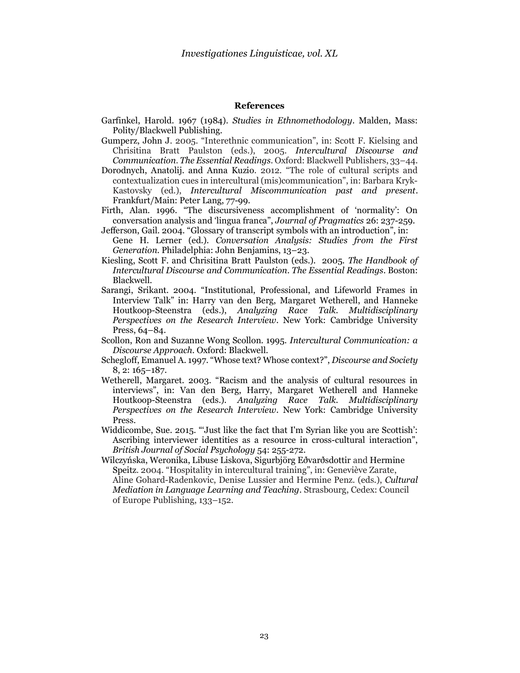#### References

- Garfinkel, Harold. 1967 (1984). Studies in Ethnomethodology. Malden, Mass: Polity/Blackwell Publishing.
- Gumperz, John J. 2005. "Interethnic communication", in: Scott F. Kielsing and Chrisitina Bratt Paulston (eds.), 2005. Intercultural Discourse and Communication. The Essential Readings. Oxford: Blackwell Publishers, 33–44.
- Dorodnych, Anatolij. and Anna Kuzio. 2012. "The role of cultural scripts and contextualization cues in intercultural (mis)communication", in: Barbara Kryk-Kastovsky (ed.), Intercultural Miscommunication past and present. Frankfurt/Main: Peter Lang, 77-99.
- Firth, Alan. 1996. "The discursiveness accomplishment of 'normality': On conversation analysis and 'lingua franca", Journal of Pragmatics 26: 237-259.
- Jefferson, Gail. 2004. "Glossary of transcript symbols with an introduction", in: Gene H. Lerner (ed.). Conversation Analysis: Studies from the First Generation. Philadelphia: John Benjamins, 13–23.
- Kiesling, Scott F. and Chrisitina Bratt Paulston (eds.). 2005. The Handbook of Intercultural Discourse and Communication. The Essential Readings. Boston: Blackwell.
- Sarangi, Srikant. 2004. "Institutional, Professional, and Lifeworld Frames in Interview Talk" in: Harry van den Berg, Margaret Wetherell, and Hanneke Houtkoop-Steenstra (eds.), Analyzing Race Talk. Multidisciplinary Perspectives on the Research Interview. New York: Cambridge University Press, 64–84.
- Scollon, Ron and Suzanne Wong Scollon. 1995. Intercultural Communication: a Discourse Approach. Oxford: Blackwell.
- Schegloff, Emanuel A. 1997. "Whose text? Whose context?", Discourse and Society 8, 2: 165–187.
- Wetherell, Margaret. 2003. "Racism and the analysis of cultural resources in interviews", in: Van den Berg, Harry, Margaret Wetherell and Hanneke Houtkoop-Steenstra (eds.). Analyzing Race Talk. Multidisciplinary Perspectives on the Research Interview. New York: Cambridge University Press.
- Widdicombe, Sue. 2015. "'Just like the fact that I'm Syrian like you are Scottish': Ascribing interviewer identities as a resource in cross-cultural interaction", British Journal of Social Psychology 54: 255-272.
- Wilczyńska, Weronika, Libuse Liskova, Sigurbjörg Eðvarðsdottir and Hermine Speitz. 2004. "Hospitality in intercultural training", in: Geneviève Zarate, Aline Gohard-Radenkovic, Denise Lussier and Hermine Penz. (eds.), Cultural Mediation in Language Learning and Teaching. Strasbourg, Cedex: Council of Europe Publishing, 133–152.